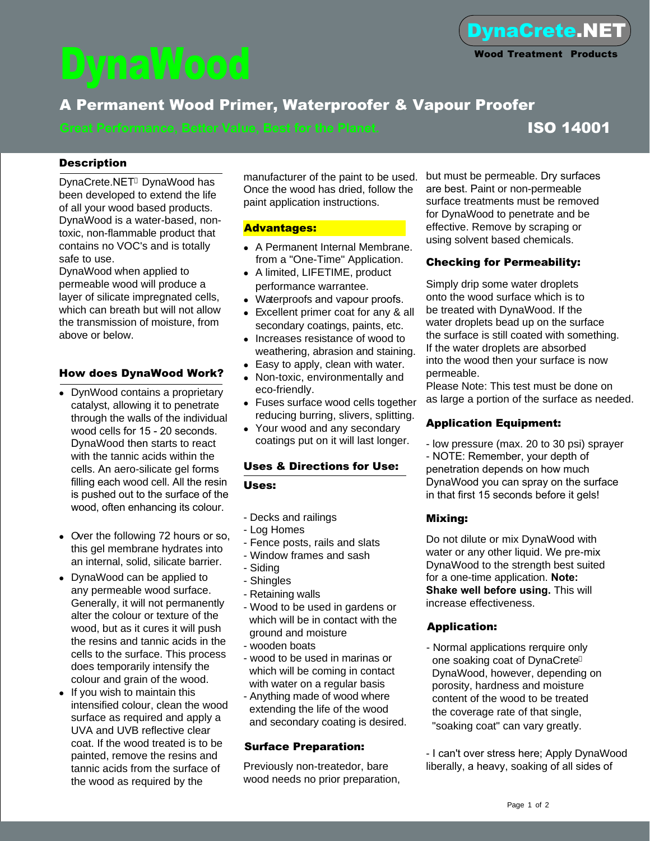# DynaWood

## A Permanent Wood Primer, Waterproofer & Vapour Proofer

**Great Performance, Better Value, Best for the Planet. ISO 14001** 

### **Description**

DynaCrete.NET<sup>®</sup> DynaWood has been developed to extend the life of all your wood based products. DynaWood is a water-based, nontoxic, non-flammable product that contains no VOC's and is totally safe to use.

DynaWood when applied to permeable wood will produce a layer of silicate impregnated cells, which can breath but will not allow the transmission of moisture, from above or below.

### How does DynaWood Work?

- DynWood contains a proprietary catalyst, allowing it to penetrate through the walls of the individual wood cells for 15 - 20 seconds. DynaWood then starts to react with the tannic acids within the cells. An aero-silicate gel forms filling each wood cell. All the resin is pushed out to the surface of the wood, often enhancing its colour.
- Over the following 72 hours or so, this gel membrane hydrates into an internal, solid, silicate barrier.
- DynaWood can be applied to any permeable wood surface. Generally, it will not permanently alter the colour or texture of the wood, but as it cures it will push the resins and tannic acids in the cells to the surface. This process does temporarily intensify the colour and grain of the wood.
- $\bullet$  If you wish to maintain this intensified colour, clean the wood surface as required and apply a UVA and UVB reflective clear coat. If the wood treated is to be painted, remove the resins and tannic acids from the surface of the wood as required by the

Once the wood has dried, follow the paint application instructions.

#### Advantages:

- A Permanent Internal Membrane. from a "One-Time" Application.
- A limited, LIFETIME, product performance warrantee.
- Waterproofs and vapour proofs.
- Excellent primer coat for any & all secondary coatings, paints, etc.
- Increases resistance of wood to weathering, abrasion and staining.
- $\bullet$  Easy to apply, clean with water.
- Non-toxic, environmentally and eco-friendly.
- Fuses surface wood cells together reducing burring, slivers, splitting.
- Your wood and any secondary coatings put on it will last longer.

#### Uses & Directions for Use:

#### Uses:

- Decks and railings
- Log Homes
- Fence posts, rails and slats
- Window frames and sash
- Siding
- Shingles
- Retaining walls
- Wood to be used in gardens or which will be in contact with the ground and moisture
- wooden boats
- wood to be used in marinas or which will be coming in contact with water on a regular basis
- Anything made of wood where extending the life of the wood and secondary coating is desired.

#### Surface Preparation:

Previously non-treatedor, bare wood needs no prior preparation,

manufacturer of the paint to be used. but must be permeable. Dry surfaces are best. Paint or non-permeable surface treatments must be removed for DynaWood to penetrate and be effective. Remove by scraping or using solvent based chemicals.

#### Checking for Permeability:

Simply drip some water droplets onto the wood surface which is to be treated with DynaWood. If the water droplets bead up on the surface the surface is still coated with something. If the water droplets are absorbed into the wood then your surface is now permeable.

Please Note: This test must be done on as large a portion of the surface as needed.

#### Application Equipment:

- low pressure (max. 20 to 30 psi) sprayer - NOTE: Remember, your depth of penetration depends on how much DynaWood you can spray on the surface in that first 15 seconds before it gels!

#### Mixing:

Do not dilute or mix DynaWood with water or any other liquid. We pre-mix DynaWood to the strength best suited for a one-time application. **Note: Shake well before using.** This will increase effectiveness.

#### Application:

- Normal applications rerquire only one soaking coat of DynaCrete DynaWood, however, depending on porosity, hardness and moisture content of the wood to be treated the coverage rate of that single, "soaking coat" can vary greatly.

- I can't over stress here; Apply DynaWood liberally, a heavy, soaking of all sides of